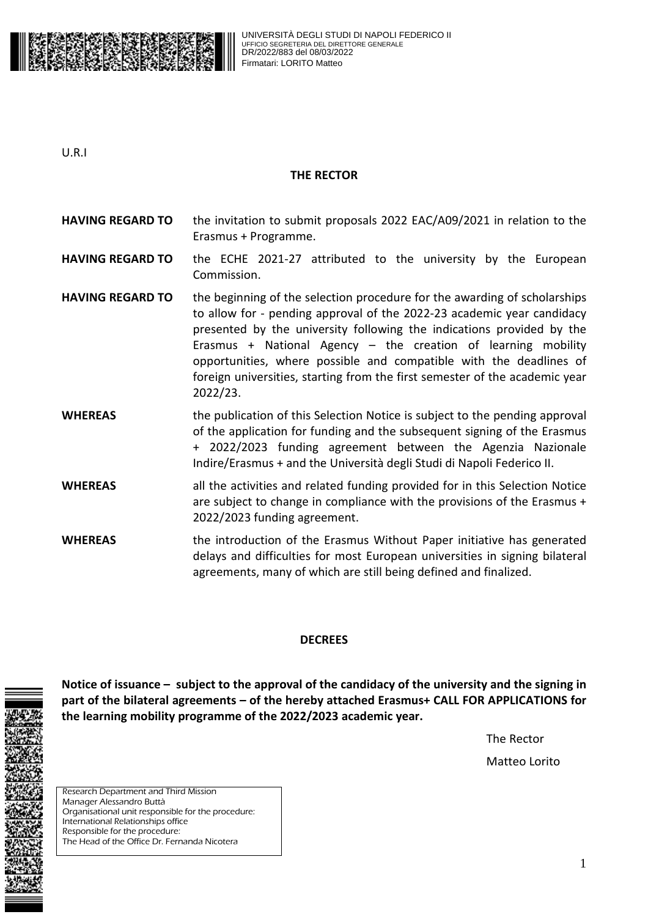

U.R.I

#### **THE RECTOR**

- **HAVING REGARD TO** the invitation to submit proposals 2022 EAC/A09/2021 in relation to the Erasmus + Programme.
- **HAVING REGARD TO** the ECHE 2021-27 attributed to the university by the European Commission.
- **HAVING REGARD TO** the beginning of the selection procedure for the awarding of scholarships to allow for - pending approval of the 2022-23 academic year candidacy presented by the university following the indications provided by the Erasmus + National Agency  $-$  the creation of learning mobility opportunities, where possible and compatible with the deadlines of foreign universities, starting from the first semester of the academic year 2022/23.
- **WHEREAS** the publication of this Selection Notice is subject to the pending approval of the application for funding and the subsequent signing of the Erasmus + 2022/2023 funding agreement between the Agenzia Nazionale Indire/Erasmus + and the Università degli Studi di Napoli Federico II.
- **WHEREAS** all the activities and related funding provided for in this Selection Notice are subject to change in compliance with the provisions of the Erasmus + 2022/2023 funding agreement.
- **WHEREAS** the introduction of the Erasmus Without Paper initiative has generated delays and difficulties for most European universities in signing bilateral agreements, many of which are still being defined and finalized.

## **DECREES**

**Notice of issuance – subject to the approval of the candidacy of the university and the signing in part of the bilateral agreements – of the hereby attached Erasmus+ CALL FOR APPLICATIONS for the learning mobility programme of the 2022/2023 academic year.** 

> The Rector Matteo Lorito

Research Department and Third Mission Manager Alessandro Buttà Organisational unit responsible for the procedure: International Relationships office Responsible for the procedure: The Head of the Office Dr. Fernanda Nicotera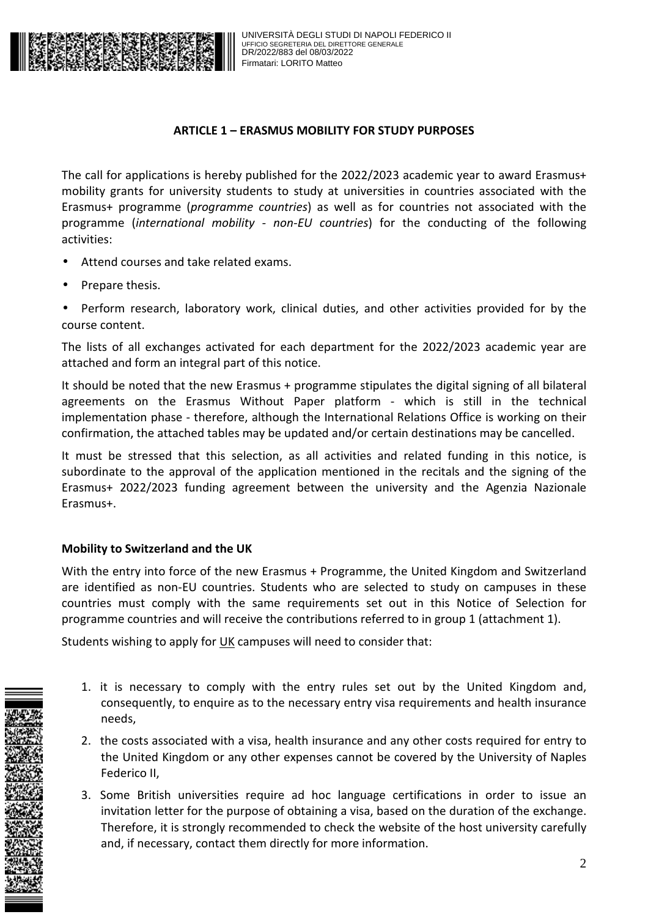

## **ARTICLE 1 – ERASMUS MOBILITY FOR STUDY PURPOSES**

The call for applications is hereby published for the 2022/2023 academic year to award Erasmus+ mobility grants for university students to study at universities in countries associated with the Erasmus+ programme (*programme countries*) as well as for countries not associated with the programme (*international mobility - non-EU countries*) for the conducting of the following activities:

- Attend courses and take related exams.
- Prepare thesis.

• Perform research, laboratory work, clinical duties, and other activities provided for by the course content.

The lists of all exchanges activated for each department for the 2022/2023 academic year are attached and form an integral part of this notice.

It should be noted that the new Erasmus + programme stipulates the digital signing of all bilateral agreements on the Erasmus Without Paper platform - which is still in the technical implementation phase - therefore, although the International Relations Office is working on their confirmation, the attached tables may be updated and/or certain destinations may be cancelled.

It must be stressed that this selection, as all activities and related funding in this notice, is subordinate to the approval of the application mentioned in the recitals and the signing of the Erasmus+ 2022/2023 funding agreement between the university and the Agenzia Nazionale Erasmus+.

## **Mobility to Switzerland and the UK**

With the entry into force of the new Erasmus + Programme, the United Kingdom and Switzerland are identified as non-EU countries. Students who are selected to study on campuses in these countries must comply with the same requirements set out in this Notice of Selection for programme countries and will receive the contributions referred to in group 1 (attachment 1).

Students wishing to apply for UK campuses will need to consider that:

- 1. it is necessary to comply with the entry rules set out by the United Kingdom and, consequently, to enquire as to the necessary entry visa requirements and health insurance needs,
- 2. the costs associated with a visa, health insurance and any other costs required for entry to the United Kingdom or any other expenses cannot be covered by the University of Naples Federico II,
- 3. Some British universities require ad hoc language certifications in order to issue an invitation letter for the purpose of obtaining a visa, based on the duration of the exchange. Therefore, it is strongly recommended to check the website of the host university carefully and, if necessary, contact them directly for more information.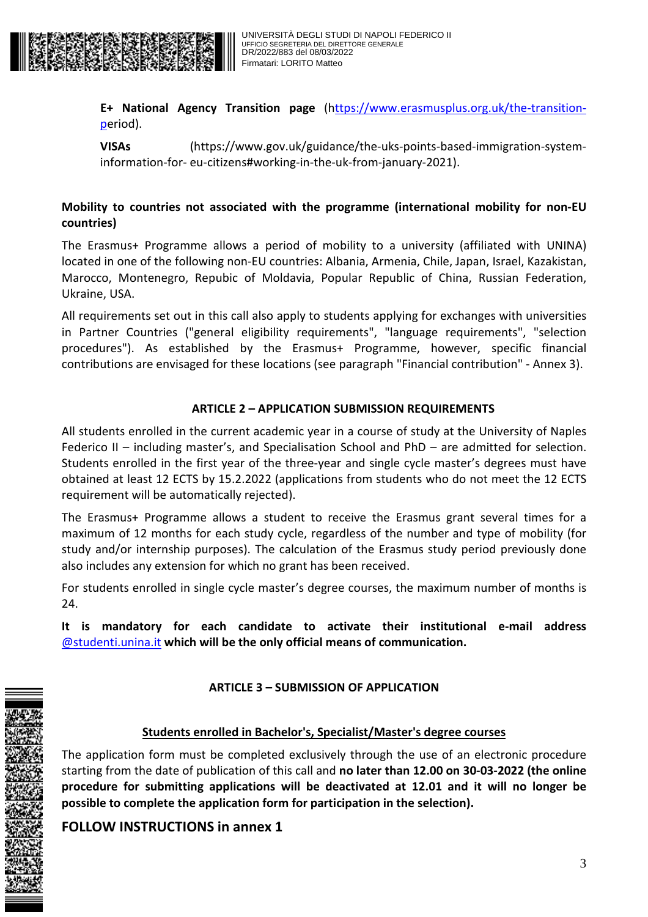

**E+ National Agency Transition page** (https://www.erasmusplus.org.uk/the-transitionperiod).

**VISAs** (https://www.gov.uk/guidance/the-uks-points-based-immigration-systeminformation-for- eu-citizens#working-in-the-uk-from-january-2021).

## **Mobility to countries not associated with the programme (international mobility for non-EU countries)**

The Erasmus+ Programme allows a period of mobility to a university (affiliated with UNINA) located in one of the following non-EU countries: Albania, Armenia, Chile, Japan, Israel, Kazakistan, Marocco, Montenegro, Repubic of Moldavia, Popular Republic of China, Russian Federation, Ukraine, USA.

All requirements set out in this call also apply to students applying for exchanges with universities in Partner Countries ("general eligibility requirements", "language requirements", "selection procedures"). As established by the Erasmus+ Programme, however, specific financial contributions are envisaged for these locations (see paragraph "Financial contribution" - Annex 3).

## **ARTICLE 2 – APPLICATION SUBMISSION REQUIREMENTS**

All students enrolled in the current academic year in a course of study at the University of Naples Federico II – including master's, and Specialisation School and PhD – are admitted for selection. Students enrolled in the first year of the three-year and single cycle master's degrees must have obtained at least 12 ECTS by 15.2.2022 (applications from students who do not meet the 12 ECTS requirement will be automatically rejected).

The Erasmus+ Programme allows a student to receive the Erasmus grant several times for a maximum of 12 months for each study cycle, regardless of the number and type of mobility (for study and/or internship purposes). The calculation of the Erasmus study period previously done also includes any extension for which no grant has been received.

For students enrolled in single cycle master's degree courses, the maximum number of months is 24.

**It is mandatory for each candidate to activate their institutional e-mail address**  @studenti.unina.it **which will be the only official means of communication.** 

## **ARTICLE 3 – SUBMISSION OF APPLICATION**

## **Students enrolled in Bachelor's, Specialist/Master's degree courses**

The application form must be completed exclusively through the use of an electronic procedure starting from the date of publication of this call and **no later than 12.00 on 30-03-2022 (the online procedure for submitting applications will be deactivated at 12.01 and it will no longer be possible to complete the application form for participation in the selection).** 

## **FOLLOW INSTRUCTIONS in annex 1**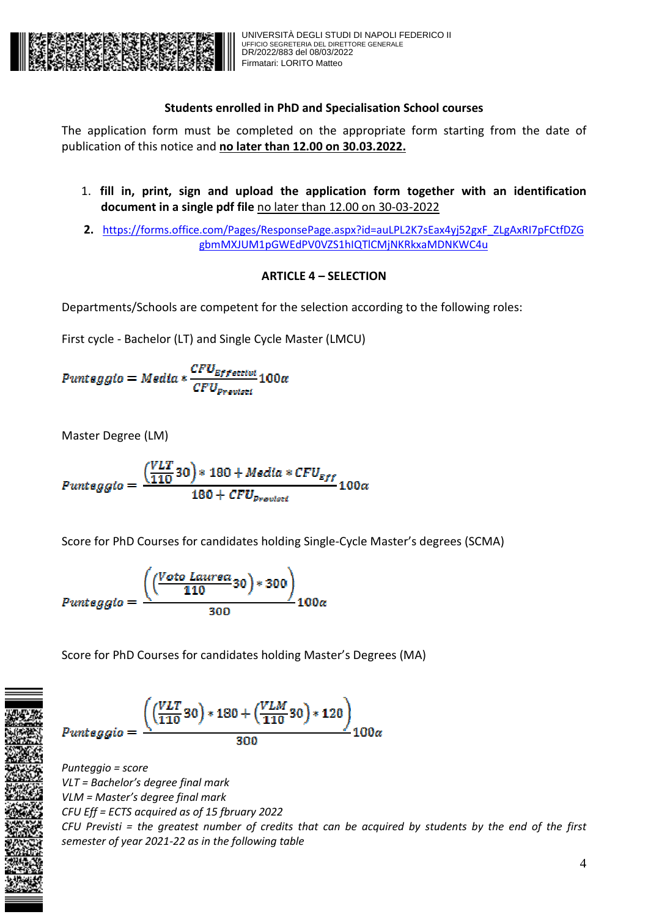

## **Students enrolled in PhD and Specialisation School courses**

The application form must be completed on the appropriate form starting from the date of publication of this notice and **no later than 12.00 on 30.03.2022.** 

- 1. **fill in, print, sign and upload the application form together with an identification document in a single pdf file** no later than 12.00 on 30-03-2022
- 2. https://forms.office.com/Pages/ResponsePage.aspx?id=auLPL2K7sEax4yj52gxF\_ZLgAxRI7pFCtfDZG gbmMXJUM1pGWEdPV0VZS1hIQTlCMjNKRkxaMDNKWC4u

## **ARTICLE 4 – SELECTION**

Departments/Schools are competent for the selection according to the following roles:

First cycle - Bachelor (LT) and Single Cycle Master (LMCU)

 $\small \textit{Punteggio} = \small \textit{Media} * \frac{\small \textit{CFU}_{\textit{Effettivi}}}{\small \textit{CFU}_{\textit{Provisti}}} 100\small \textit{a}$ 

Master Degree (LM)

$$
Puntegg to = \frac{ (VLT 30)*180 + Media*CFU_{Eff}}{180 + CFU_{previsti}} 100\alpha
$$

Score for PhD Courses for candidates holding Single-Cycle Master's degrees (SCMA)

$$
Punteggio = \frac{\left(\left(\frac{Voto\;Laurea}{110}30\right)*300\right)}{300}100\alpha
$$

Score for PhD Courses for candidates holding Master's Degrees (MA)

$$
Punteggio = \frac{((\frac{VLT}{110}30)*180 + (\frac{VLM}{110}30)*120)}{300}100\alpha
$$

*Punteggio = score VLT = Bachelor's degree final mark VLM = Master's degree final mark CFU Eff = ECTS acquired as of 15 fbruary 2022 CFU Previsti = the greatest number of credits that can be acquired by students by the end of the first semester of year 2021-22 as in the following table*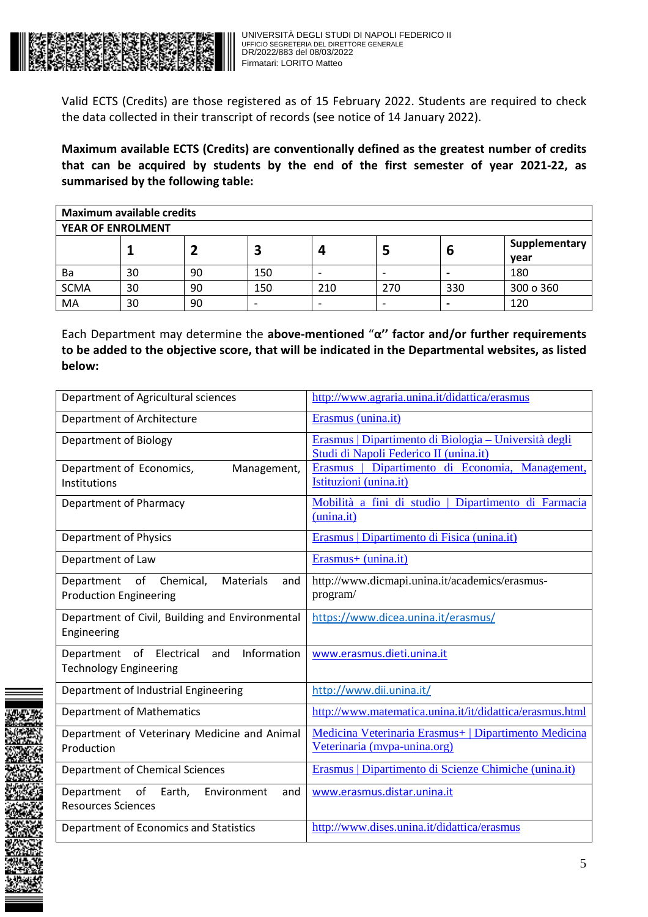

Valid ECTS (Credits) are those registered as of 15 February 2022. Students are required to check the data collected in their transcript of records (see notice of 14 January 2022).

**Maximum available ECTS (Credits) are conventionally defined as the greatest number of credits that can be acquired by students by the end of the first semester of year 2021-22, as summarised by the following table:** 

| <b>Maximum available credits</b> |    |    |     |                          |     |     |                       |
|----------------------------------|----|----|-----|--------------------------|-----|-----|-----------------------|
| <b>YEAR OF ENROLMENT</b>         |    |    |     |                          |     |     |                       |
|                                  |    |    |     |                          |     | D   | Supplementary<br>year |
| Ba                               | 30 | 90 | 150 | $\overline{\phantom{0}}$ |     |     | 180                   |
| <b>SCMA</b>                      | 30 | 90 | 150 | 210                      | 270 | 330 | 300 o 360             |
| MA                               | 30 | 90 |     | $\overline{\phantom{0}}$ |     |     | 120                   |

Each Department may determine the **above-mentioned** "**α'' factor and/or further requirements to be added to the objective score, that will be indicated in the Departmental websites, as listed below:** 

| Department of Agricultural sciences                                                    | http://www.agraria.unina.it/didattica/erasmus                                                   |  |  |
|----------------------------------------------------------------------------------------|-------------------------------------------------------------------------------------------------|--|--|
| Department of Architecture                                                             | Erasmus (unina.it)                                                                              |  |  |
| Department of Biology                                                                  | Erasmus   Dipartimento di Biologia – Università degli<br>Studi di Napoli Federico II (unina.it) |  |  |
| Department of Economics,<br>Management,<br>Institutions                                | Dipartimento di Economia, Management,<br>Erasmus  <br>Istituzioni (unina.it)                    |  |  |
| Department of Pharmacy                                                                 | Mobilità a fini di studio   Dipartimento di Farmacia<br>(unina.it)                              |  |  |
| Department of Physics                                                                  | Erasmus   Dipartimento di Fisica (unina.it)                                                     |  |  |
| Department of Law                                                                      | Erasmus+ (unina.it)                                                                             |  |  |
| Department of<br>Chemical,<br><b>Materials</b><br>and<br><b>Production Engineering</b> | http://www.dicmapi.unina.it/academics/erasmus-<br>program/                                      |  |  |
| Department of Civil, Building and Environmental<br>Engineering                         | https://www.dicea.unina.it/erasmus/                                                             |  |  |
| Information<br>of Electrical<br>Department<br>and<br><b>Technology Engineering</b>     | www.erasmus.dieti.unina.it                                                                      |  |  |
| Department of Industrial Engineering                                                   | http://www.dii.unina.it/                                                                        |  |  |
| <b>Department of Mathematics</b>                                                       | http://www.matematica.unina.it/it/didattica/erasmus.html                                        |  |  |
| Department of Veterinary Medicine and Animal<br>Production                             | Medicina Veterinaria Erasmus+   Dipartimento Medicina<br>Veterinaria (mypa-unina.org)           |  |  |
| <b>Department of Chemical Sciences</b>                                                 | Erasmus   Dipartimento di Scienze Chimiche (unina.it)                                           |  |  |
| Department<br>of<br>Earth,<br>Environment<br>and<br><b>Resources Sciences</b>          | www.erasmus.distar.unina.it                                                                     |  |  |
| Department of Economics and Statistics                                                 | http://www.dises.unina.it/didattica/erasmus                                                     |  |  |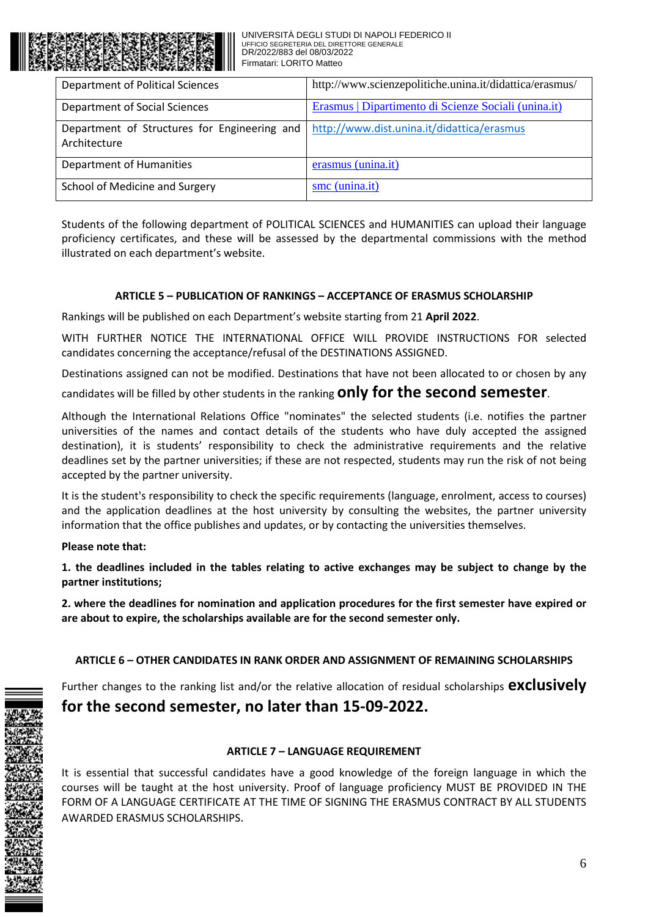| Department of Political Sciences                             | http://www.scienzepolitiche.unina.it/didattica/erasmus/ |
|--------------------------------------------------------------|---------------------------------------------------------|
| Department of Social Sciences                                | Erasmus   Dipartimento di Scienze Sociali (unina.it)    |
| Department of Structures for Engineering and<br>Architecture | http://www.dist.unina.it/didattica/erasmus              |
| Department of Humanities                                     | erasmus (unina.it)                                      |
| School of Medicine and Surgery                               | smc (unina.it)                                          |

Students of the following department of POLITICAL SCIENCES and HUMANITIES can upload their language proficiency certificates, and these will be assessed by the departmental commissions with the method illustrated on each department's website.

#### **ARTICLE 5 – PUBLICATION OF RANKINGS – ACCEPTANCE OF ERASMUS SCHOLARSHIP**

Rankings will be published on each Department's website starting from 21 **April 2022**.

WITH FURTHER NOTICE THE INTERNATIONAL OFFICE WILL PROVIDE INSTRUCTIONS FOR selected candidates concerning the acceptance/refusal of the DESTINATIONS ASSIGNED.

Destinations assigned can not be modified. Destinations that have not been allocated to or chosen by any

candidates will be filled by other students in the ranking **only for the second semester**.

Although the International Relations Office "nominates" the selected students (i.e. notifies the partner universities of the names and contact details of the students who have duly accepted the assigned destination), it is students' responsibility to check the administrative requirements and the relative deadlines set by the partner universities; if these are not respected, students may run the risk of not being accepted by the partner university.

It is the student's responsibility to check the specific requirements (language, enrolment, access to courses) and the application deadlines at the host university by consulting the websites, the partner university information that the office publishes and updates, or by contacting the universities themselves.

#### **Please note that:**

**1. the deadlines included in the tables relating to active exchanges may be subject to change by the partner institutions;** 

**2. where the deadlines for nomination and application procedures for the first semester have expired or are about to expire, the scholarships available are for the second semester only.** 

## **ARTICLE 6 – OTHER CANDIDATES IN RANK ORDER AND ASSIGNMENT OF REMAINING SCHOLARSHIPS**

Further changes to the ranking list and/or the relative allocation of residual scholarships **exclusively** 

## **for the second semester, no later than 15-09-2022.**

## **ARTICLE 7 – LANGUAGE REQUIREMENT**

It is essential that successful candidates have a good knowledge of the foreign language in which the courses will be taught at the host university. Proof of language proficiency MUST BE PROVIDED IN THE FORM OF A LANGUAGE CERTIFICATE AT THE TIME OF SIGNING THE ERASMUS CONTRACT BY ALL STUDENTS AWARDED ERASMUS SCHOLARSHIPS.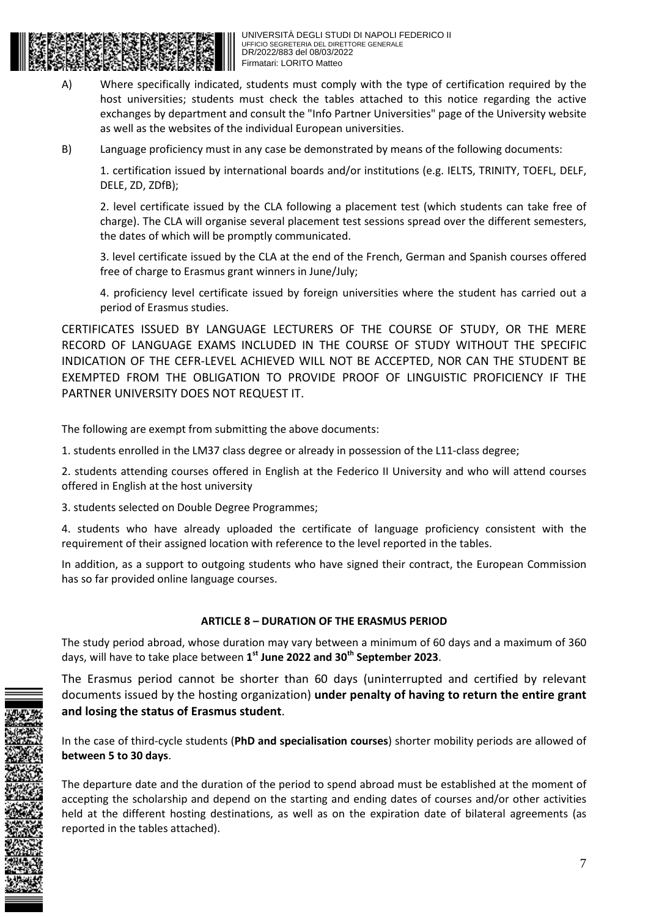

- A) Where specifically indicated, students must comply with the type of certification required by the host universities; students must check the tables attached to this notice regarding the active exchanges by department and consult the "Info Partner Universities" page of the University website as well as the websites of the individual European universities.
- B) Language proficiency must in any case be demonstrated by means of the following documents:

1. certification issued by international boards and/or institutions (e.g. IELTS, TRINITY, TOEFL, DELF, DELE, ZD, ZDfB);

2. level certificate issued by the CLA following a placement test (which students can take free of charge). The CLA will organise several placement test sessions spread over the different semesters, the dates of which will be promptly communicated.

3. level certificate issued by the CLA at the end of the French, German and Spanish courses offered free of charge to Erasmus grant winners in June/July;

4. proficiency level certificate issued by foreign universities where the student has carried out a period of Erasmus studies.

CERTIFICATES ISSUED BY LANGUAGE LECTURERS OF THE COURSE OF STUDY, OR THE MERE RECORD OF LANGUAGE EXAMS INCLUDED IN THE COURSE OF STUDY WITHOUT THE SPECIFIC INDICATION OF THE CEFR-LEVEL ACHIEVED WILL NOT BE ACCEPTED, NOR CAN THE STUDENT BE EXEMPTED FROM THE OBLIGATION TO PROVIDE PROOF OF LINGUISTIC PROFICIENCY IF THE PARTNER UNIVERSITY DOES NOT REQUEST IT.

The following are exempt from submitting the above documents:

1. students enrolled in the LM37 class degree or already in possession of the L11-class degree;

2. students attending courses offered in English at the Federico II University and who will attend courses offered in English at the host university

3. students selected on Double Degree Programmes;

4. students who have already uploaded the certificate of language proficiency consistent with the requirement of their assigned location with reference to the level reported in the tables.

In addition, as a support to outgoing students who have signed their contract, the European Commission has so far provided online language courses.

## **ARTICLE 8 – DURATION OF THE ERASMUS PERIOD**

The study period abroad, whose duration may vary between a minimum of 60 days and a maximum of 360 days, will have to take place between **1 st June 2022 and 30th September 2023**.

The Erasmus period cannot be shorter than 60 days (uninterrupted and certified by relevant documents issued by the hosting organization) **under penalty of having to return the entire grant and losing the status of Erasmus student**.

In the case of third-cycle students (**PhD and specialisation courses**) shorter mobility periods are allowed of **between 5 to 30 days**.

The departure date and the duration of the period to spend abroad must be established at the moment of accepting the scholarship and depend on the starting and ending dates of courses and/or other activities held at the different hosting destinations, as well as on the expiration date of bilateral agreements (as reported in the tables attached).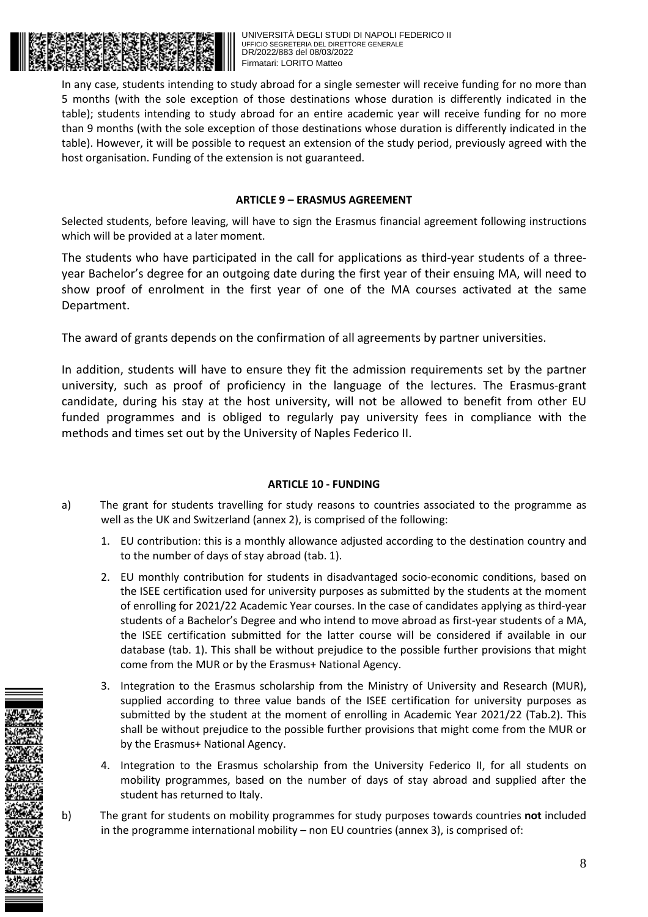

In any case, students intending to study abroad for a single semester will receive funding for no more than 5 months (with the sole exception of those destinations whose duration is differently indicated in the table); students intending to study abroad for an entire academic year will receive funding for no more than 9 months (with the sole exception of those destinations whose duration is differently indicated in the table). However, it will be possible to request an extension of the study period, previously agreed with the host organisation. Funding of the extension is not guaranteed.

#### **ARTICLE 9 – ERASMUS AGREEMENT**

Selected students, before leaving, will have to sign the Erasmus financial agreement following instructions which will be provided at a later moment.

The students who have participated in the call for applications as third-year students of a threeyear Bachelor's degree for an outgoing date during the first year of their ensuing MA, will need to show proof of enrolment in the first year of one of the MA courses activated at the same Department.

The award of grants depends on the confirmation of all agreements by partner universities.

In addition, students will have to ensure they fit the admission requirements set by the partner university, such as proof of proficiency in the language of the lectures. The Erasmus-grant candidate, during his stay at the host university, will not be allowed to benefit from other EU funded programmes and is obliged to regularly pay university fees in compliance with the methods and times set out by the University of Naples Federico II.

#### **ARTICLE 10 - FUNDING**

- a) The grant for students travelling for study reasons to countries associated to the programme as well as the UK and Switzerland (annex 2), is comprised of the following:
	- 1. EU contribution: this is a monthly allowance adjusted according to the destination country and to the number of days of stay abroad (tab. 1).
	- 2. EU monthly contribution for students in disadvantaged socio-economic conditions, based on the ISEE certification used for university purposes as submitted by the students at the moment of enrolling for 2021/22 Academic Year courses. In the case of candidates applying as third-year students of a Bachelor's Degree and who intend to move abroad as first-year students of a MA, the ISEE certification submitted for the latter course will be considered if available in our database (tab. 1). This shall be without prejudice to the possible further provisions that might come from the MUR or by the Erasmus+ National Agency.
	- 3. Integration to the Erasmus scholarship from the Ministry of University and Research (MUR), supplied according to three value bands of the ISEE certification for university purposes as submitted by the student at the moment of enrolling in Academic Year 2021/22 (Tab.2). This shall be without prejudice to the possible further provisions that might come from the MUR or by the Erasmus+ National Agency.
	- 4. Integration to the Erasmus scholarship from the University Federico II, for all students on mobility programmes, based on the number of days of stay abroad and supplied after the student has returned to Italy.
- b) The grant for students on mobility programmes for study purposes towards countries **not** included in the programme international mobility – non EU countries (annex 3), is comprised of:



8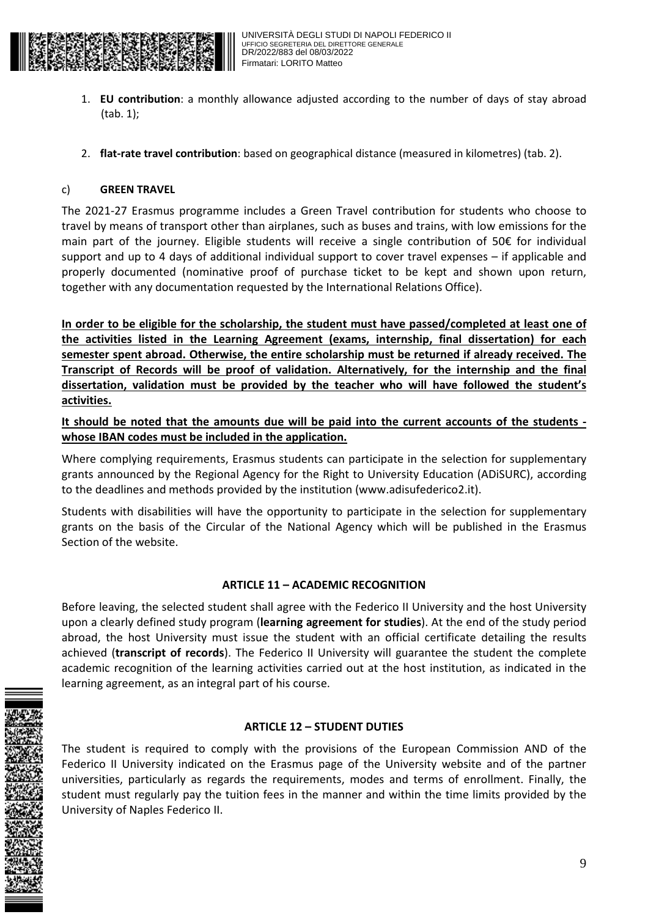

- 1. **EU contribution**: a monthly allowance adjusted according to the number of days of stay abroad (tab. 1);
- 2. **flat-rate travel contribution**: based on geographical distance (measured in kilometres) (tab. 2).

#### c) **GREEN TRAVEL**

The 2021-27 Erasmus programme includes a Green Travel contribution for students who choose to travel by means of transport other than airplanes, such as buses and trains, with low emissions for the main part of the journey. Eligible students will receive a single contribution of 50€ for individual support and up to 4 days of additional individual support to cover travel expenses – if applicable and properly documented (nominative proof of purchase ticket to be kept and shown upon return, together with any documentation requested by the International Relations Office).

**In order to be eligible for the scholarship, the student must have passed/completed at least one of the activities listed in the Learning Agreement (exams, internship, final dissertation) for each semester spent abroad. Otherwise, the entire scholarship must be returned if already received. The Transcript of Records will be proof of validation. Alternatively, for the internship and the final dissertation, validation must be provided by the teacher who will have followed the student's activities.** 

**It should be noted that the amounts due will be paid into the current accounts of the students whose IBAN codes must be included in the application.** 

Where complying requirements, Erasmus students can participate in the selection for supplementary grants announced by the Regional Agency for the Right to University Education (ADiSURC), according to the deadlines and methods provided by the institution (www.adisufederico2.it).

Students with disabilities will have the opportunity to participate in the selection for supplementary grants on the basis of the Circular of the National Agency which will be published in the Erasmus Section of the website.

#### **ARTICLE 11 – ACADEMIC RECOGNITION**

Before leaving, the selected student shall agree with the Federico II University and the host University upon a clearly defined study program (**learning agreement for studies**). At the end of the study period abroad, the host University must issue the student with an official certificate detailing the results achieved (**transcript of records**). The Federico II University will guarantee the student the complete academic recognition of the learning activities carried out at the host institution, as indicated in the learning agreement, as an integral part of his course.

#### **ARTICLE 12 – STUDENT DUTIES**

The student is required to comply with the provisions of the European Commission AND of the Federico II University indicated on the Erasmus page of the University website and of the partner universities, particularly as regards the requirements, modes and terms of enrollment. Finally, the student must regularly pay the tuition fees in the manner and within the time limits provided by the University of Naples Federico II.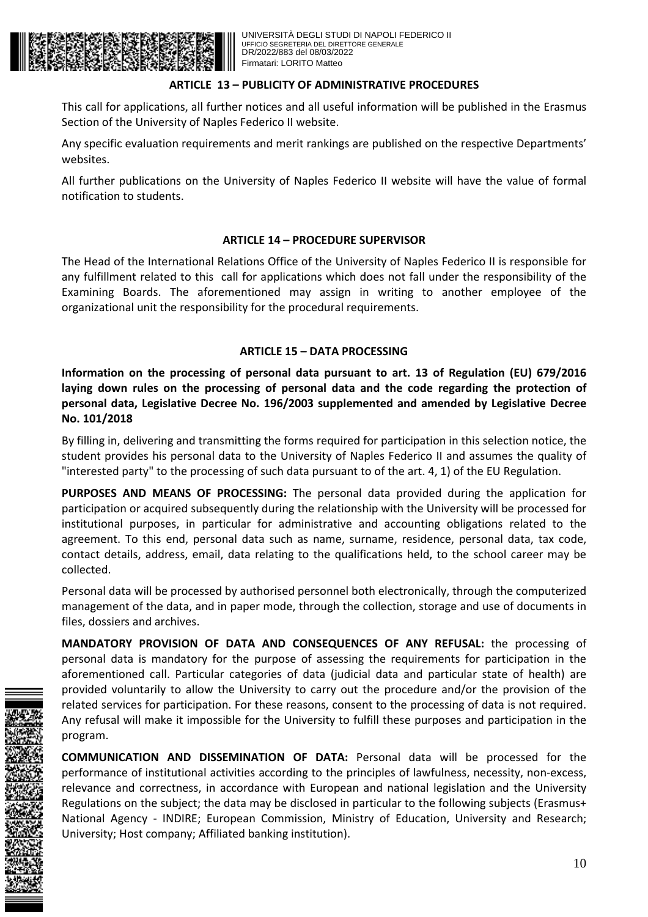

#### **ARTICLE 13 – PUBLICITY OF ADMINISTRATIVE PROCEDURES**

This call for applications, all further notices and all useful information will be published in the Erasmus Section of the University of Naples Federico II website.

Any specific evaluation requirements and merit rankings are published on the respective Departments' websites.

All further publications on the University of Naples Federico II website will have the value of formal notification to students.

#### **ARTICLE 14 – PROCEDURE SUPERVISOR**

The Head of the International Relations Office of the University of Naples Federico II is responsible for any fulfillment related to this call for applications which does not fall under the responsibility of the Examining Boards. The aforementioned may assign in writing to another employee of the organizational unit the responsibility for the procedural requirements.

#### **ARTICLE 15 – DATA PROCESSING**

**Information on the processing of personal data pursuant to art. 13 of Regulation (EU) 679/2016 laying down rules on the processing of personal data and the code regarding the protection of personal data, Legislative Decree No. 196/2003 supplemented and amended by Legislative Decree No. 101/2018** 

By filling in, delivering and transmitting the forms required for participation in this selection notice, the student provides his personal data to the University of Naples Federico II and assumes the quality of "interested party" to the processing of such data pursuant to of the art. 4, 1) of the EU Regulation.

**PURPOSES AND MEANS OF PROCESSING:** The personal data provided during the application for participation or acquired subsequently during the relationship with the University will be processed for institutional purposes, in particular for administrative and accounting obligations related to the agreement. To this end, personal data such as name, surname, residence, personal data, tax code, contact details, address, email, data relating to the qualifications held, to the school career may be collected.

Personal data will be processed by authorised personnel both electronically, through the computerized management of the data, and in paper mode, through the collection, storage and use of documents in files, dossiers and archives.

**MANDATORY PROVISION OF DATA AND CONSEQUENCES OF ANY REFUSAL:** the processing of personal data is mandatory for the purpose of assessing the requirements for participation in the aforementioned call. Particular categories of data (judicial data and particular state of health) are provided voluntarily to allow the University to carry out the procedure and/or the provision of the related services for participation. For these reasons, consent to the processing of data is not required. Any refusal will make it impossible for the University to fulfill these purposes and participation in the program.

**COMMUNICATION AND DISSEMINATION OF DATA:** Personal data will be processed for the performance of institutional activities according to the principles of lawfulness, necessity, non-excess, relevance and correctness, in accordance with European and national legislation and the University Regulations on the subject; the data may be disclosed in particular to the following subjects (Erasmus+ National Agency - INDIRE; European Commission, Ministry of Education, University and Research; University; Host company; Affiliated banking institution).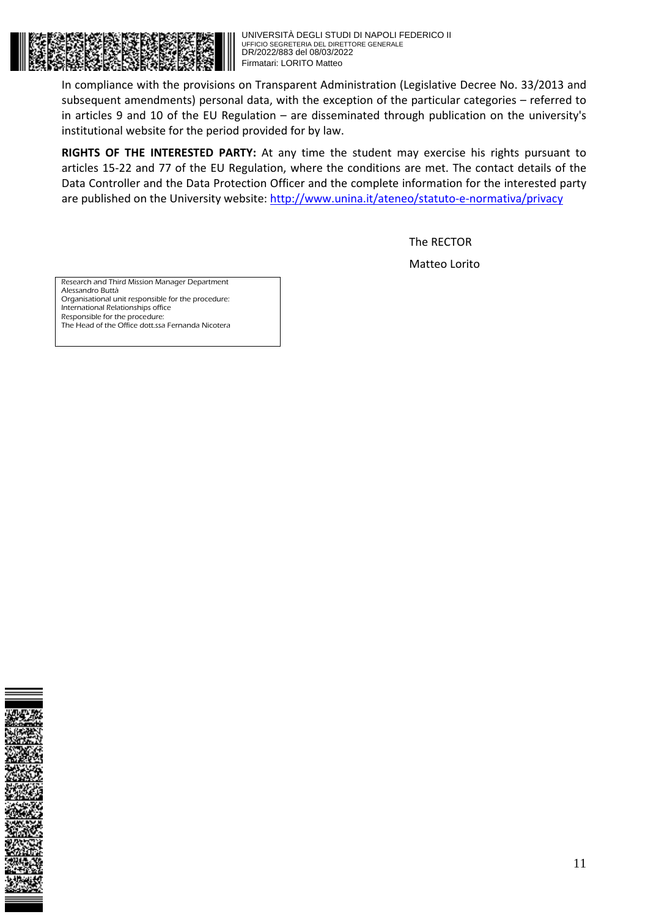

In compliance with the provisions on Transparent Administration (Legislative Decree No. 33/2013 and subsequent amendments) personal data, with the exception of the particular categories – referred to in articles 9 and 10 of the EU Regulation – are disseminated through publication on the university's institutional website for the period provided for by law.

**RIGHTS OF THE INTERESTED PARTY:** At any time the student may exercise his rights pursuant to articles 15-22 and 77 of the EU Regulation, where the conditions are met. The contact details of the Data Controller and the Data Protection Officer and the complete information for the interested party are published on the University website: http://www.unina.it/ateneo/statuto-e-normativa/privacy

> The RECTOR Matteo Lorito

Research and Third Mission Manager Department Alessandro Buttà Organisational unit responsible for the procedure: International Relationships office Responsible for the procedure: The Head of the Office dott.ssa Fernanda Nicotera

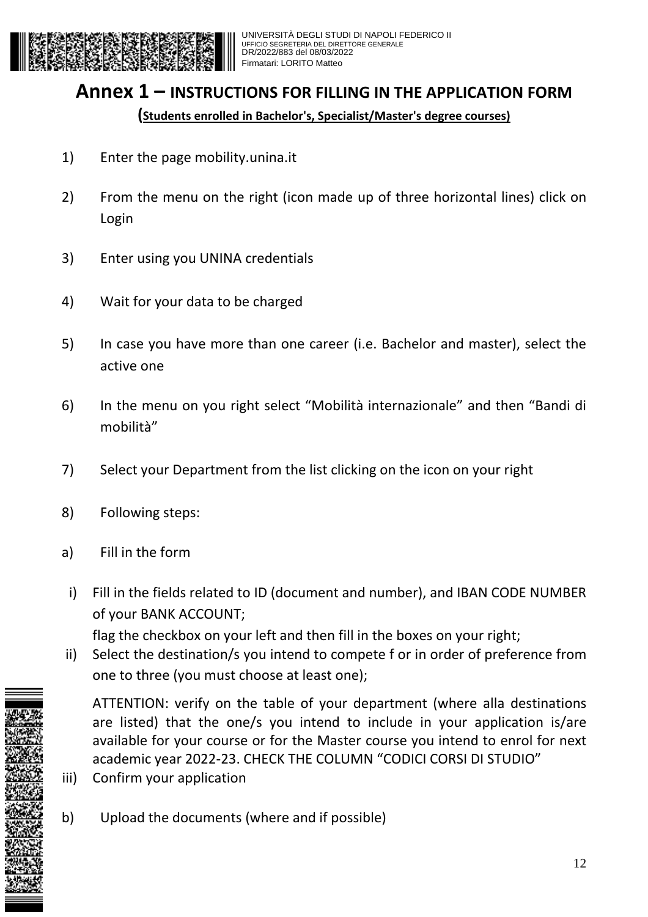

# **Annex 1 – INSTRUCTIONS FOR FILLING IN THE APPLICATION FORM**

**(Students enrolled in Bachelor's, Specialist/Master's degree courses)**

- 1) Enter the page mobility.unina.it
- 2) From the menu on the right (icon made up of three horizontal lines) click on Login
- 3) Enter using you UNINA credentials
- 4) Wait for your data to be charged
- 5) In case you have more than one career (i.e. Bachelor and master), select the active one
- 6) In the menu on you right select "Mobilità internazionale" and then "Bandi di mobilità"
- 7) Select your Department from the list clicking on the icon on your right
- 8) Following steps:
- a) Fill in the form
- i) Fill in the fields related to ID (document and number), and IBAN CODE NUMBER of your BANK ACCOUNT;

flag the checkbox on your left and then fill in the boxes on your right;

ii) Select the destination/s you intend to compete f or in order of preference from one to three (you must choose at least one);

ATTENTION: verify on the table of your department (where alla destinations are listed) that the one/s you intend to include in your application is/are available for your course or for the Master course you intend to enrol for next academic year 2022-23. CHECK THE COLUMN "CODICI CORSI DI STUDIO"

- iii) Confirm your application
- b) Upload the documents (where and if possible)

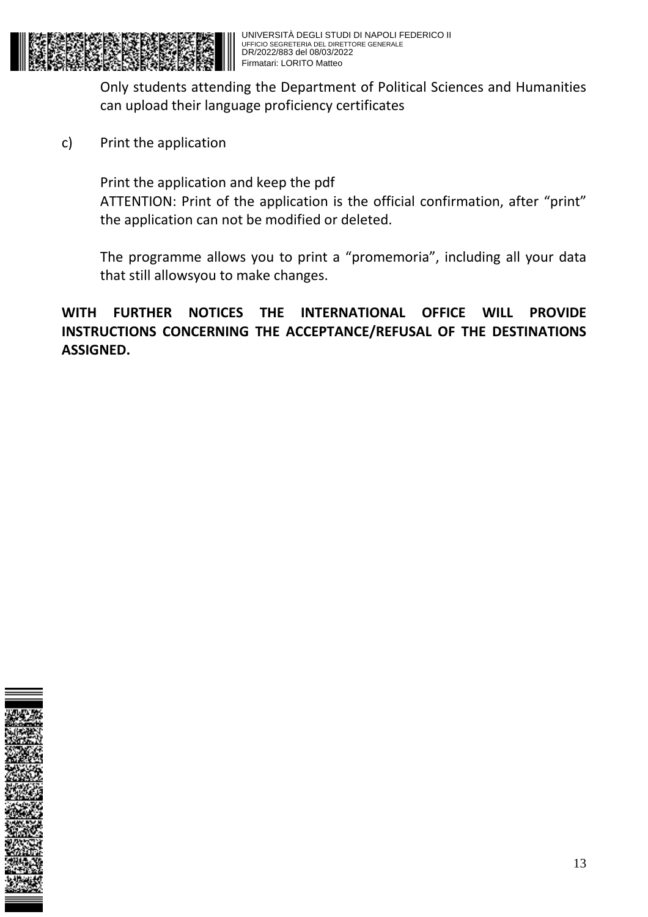

Only students attending the Department of Political Sciences and Humanities can upload their language proficiency certificates

c) Print the application

Print the application and keep the pdf ATTENTION: Print of the application is the official confirmation, after "print" the application can not be modified or deleted.

The programme allows you to print a "promemoria", including all your data that still allowsyou to make changes.

**WITH FURTHER NOTICES THE INTERNATIONAL OFFICE WILL PROVIDE INSTRUCTIONS CONCERNING THE ACCEPTANCE/REFUSAL OF THE DESTINATIONS ASSIGNED.** 

| j                                                                      |
|------------------------------------------------------------------------|
|                                                                        |
|                                                                        |
|                                                                        |
|                                                                        |
|                                                                        |
|                                                                        |
|                                                                        |
|                                                                        |
|                                                                        |
|                                                                        |
|                                                                        |
| ׀<br>׀ׇ֧֛֖֖֢֪֪֪֪֪֚֚֓֬֓֓֬֓֓֬֓֬֓֬֓֓֬֓׀<br>֧֪֪֖֖֖֖֖֖֖֖֖֖֖֖֖֖֖֖֖֖֖֖֖֖֖֖֡֬֬ |
|                                                                        |
|                                                                        |
|                                                                        |
|                                                                        |
|                                                                        |
|                                                                        |
|                                                                        |
|                                                                        |
|                                                                        |
|                                                                        |
|                                                                        |
|                                                                        |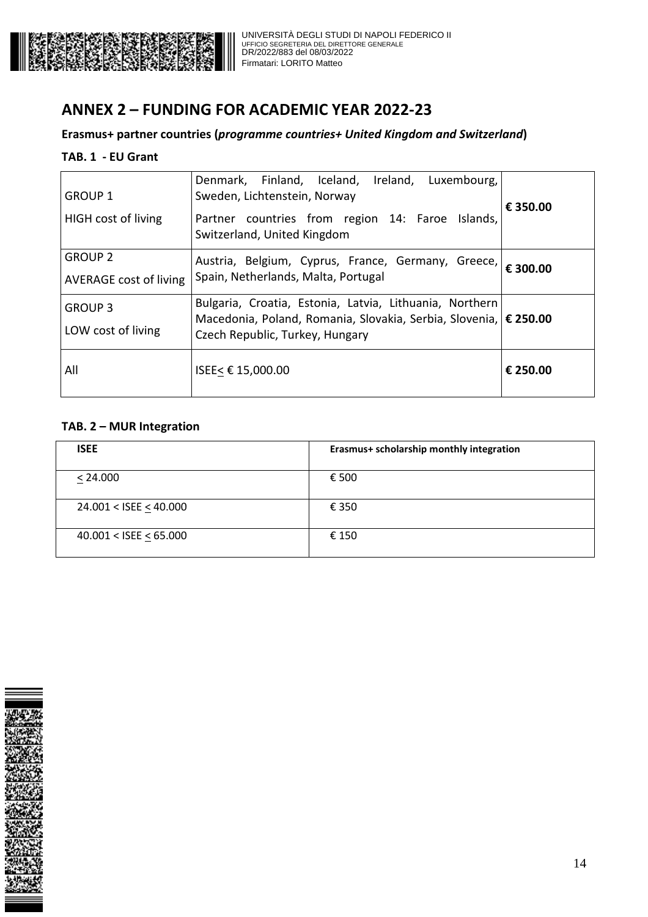

# **ANNEX 2 – FUNDING FOR ACADEMIC YEAR 2022-23**

## **Erasmus+ partner countries (***programme countries+ United Kingdom and Switzerland***)**

### **TAB. 1 - EU Grant**

| <b>GROUP 1</b><br><b>HIGH</b> cost of living    | Denmark, Finland, Iceland, Ireland, Luxembourg,<br>Sweden, Lichtenstein, Norway<br>Partner countries from region 14: Faroe Islands,<br>Switzerland, United Kingdom | € 350.00 |
|-------------------------------------------------|--------------------------------------------------------------------------------------------------------------------------------------------------------------------|----------|
| <b>GROUP 2</b><br><b>AVERAGE cost of living</b> | Austria, Belgium, Cyprus, France, Germany, Greece,  € 300.00<br>Spain, Netherlands, Malta, Portugal                                                                |          |
| <b>GROUP 3</b><br>LOW cost of living            | Bulgaria, Croatia, Estonia, Latvia, Lithuania, Northern<br>Macedonia, Poland, Romania, Slovakia, Serbia, Slovenia,   € 250.00<br>Czech Republic, Turkey, Hungary   |          |
| All                                             | ISEE< € 15,000.00                                                                                                                                                  | € 250.00 |

## **TAB. 2 – MUR Integration**

| <b>ISEE</b>                 | Erasmus+ scholarship monthly integration |
|-----------------------------|------------------------------------------|
| < 24.000                    | € 500                                    |
| 24.001 < ISEE $\leq$ 40.000 | € 350                                    |
| $40.001 <$ ISEE < 65.000    | € 150                                    |

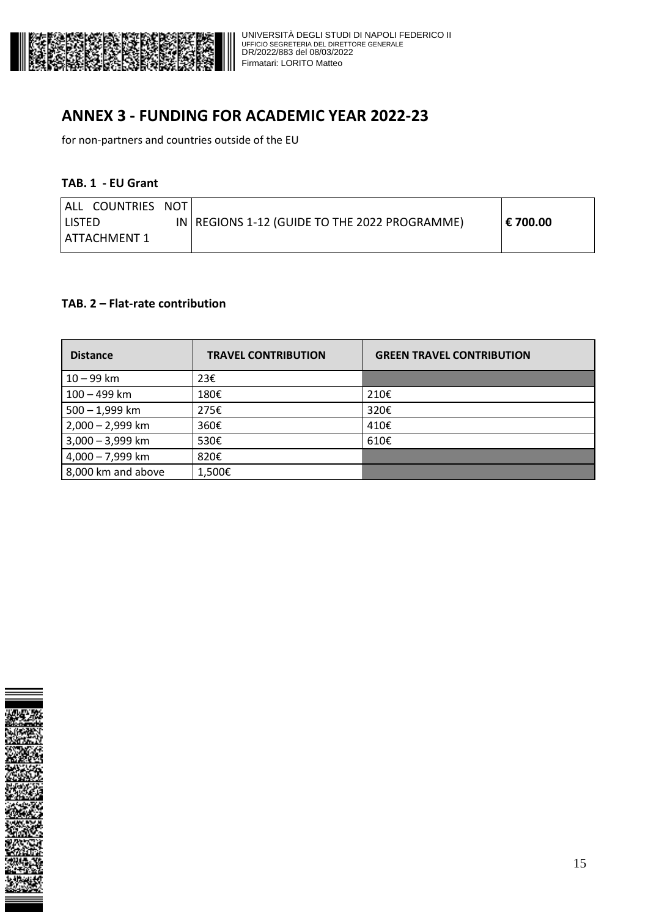

# **ANNEX 3 - FUNDING FOR ACADEMIC YEAR 2022-23**

for non-partners and countries outside of the EU

#### **TAB. 1 - EU Grant**

| I ALL COUNTRIES NOT |                                                 |            |
|---------------------|-------------------------------------------------|------------|
| ' LISTED            | IN   REGIONS 1-12 (GUIDE TO THE 2022 PROGRAMME) | ∣ € 700.00 |
| ATTACHMENT 1        |                                                 |            |

#### **TAB. 2 – Flat-rate contribution**

| <b>Distance</b>    | <b>TRAVEL CONTRIBUTION</b> | <b>GREEN TRAVEL CONTRIBUTION</b> |
|--------------------|----------------------------|----------------------------------|
| $10 - 99$ km       | 23€                        |                                  |
| 100 - 499 km       | 180€                       | 210€                             |
| $500 - 1,999$ km   | 275€                       | 320€                             |
| $2,000 - 2,999$ km | 360€                       | 410€                             |
| $3,000 - 3,999$ km | 530€                       | 610€                             |
| $4,000 - 7,999$ km | 820€                       |                                  |
| 8,000 km and above | 1,500€                     |                                  |